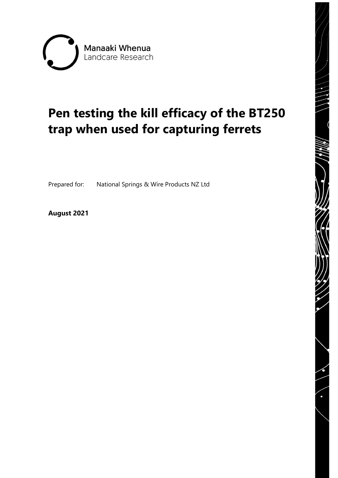

# **Pen testing the kill efficacy of the BT250 trap when used for capturing ferrets**

Prepared for: National Springs & Wire Products NZ Ltd

**August 2021**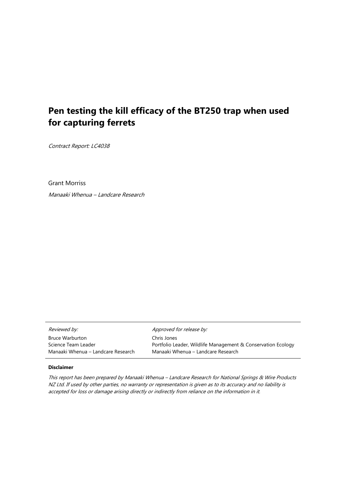# **Pen testing the kill efficacy of the BT250 trap when used for capturing ferrets**

Contract Report: LC4038

Grant Morriss

Manaaki Whenua – Landcare Research

| <i>Reviewed by:</i>                | Approved for release by:                                     |
|------------------------------------|--------------------------------------------------------------|
| <b>Bruce Warburton</b>             | Chris Jones                                                  |
| Science Team Leader                | Portfolio Leader, Wildlife Management & Conservation Ecology |
| Manaaki Whenua – Landcare Research | Manaaki Whenua – Landcare Research                           |

#### **Disclaimer**

This report has been prepared by Manaaki Whenua – Landcare Research for National Springs & Wire Products NZ Ltd. If used by other parties, no warranty or representation is given as to its accuracy and no liability is accepted for loss or damage arising directly or indirectly from reliance on the information in it.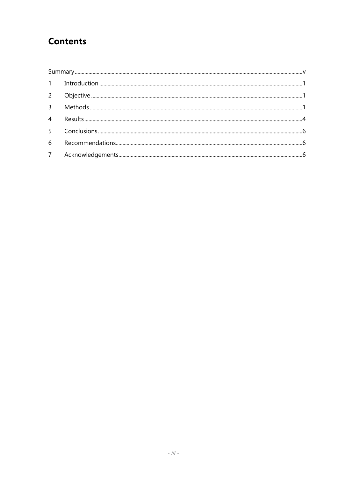# **Contents**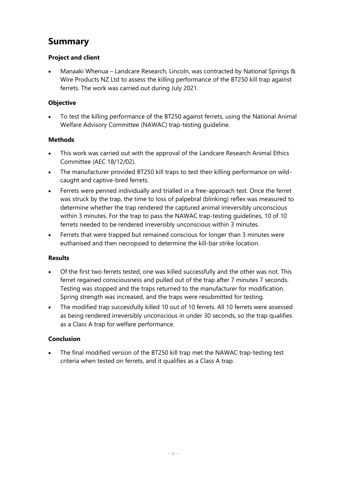# <span id="page-6-0"></span>**Summary**

#### **Project and client**

• Manaaki Whenua – Landcare Research, Lincoln, was contracted by National Springs & Wire Products NZ Ltd to assess the killing performance of the BT250 kill trap against ferrets. The work was carried out during July 2021.

#### **Objective**

• To test the killing performance of the BT250 against ferrets, using the National Animal Welfare Advisory Committee (NAWAC) trap-testing guideline.

#### **Methods**

- This work was carried out with the approval of the Landcare Research Animal Ethics Committee (AEC 18/12/02).
- The manufacturer provided BT250 kill traps to test their killing performance on wildcaught and captive-bred ferrets.
- Ferrets were penned individually and trialled in a free-approach test. Once the ferret was struck by the trap, the time to loss of palpebral (blinking) reflex was measured to determine whether the trap rendered the captured animal irreversibly unconscious within 3 minutes. For the trap to pass the NAWAC trap-testing guidelines, 10 of 10 ferrets needed to be rendered irreversibly unconscious within 3 minutes.
- Ferrets that were trapped but remained conscious for longer than 3 minutes were euthanised and then necropsied to determine the kill-bar strike location.

#### **Results**

- Of the first two ferrets tested, one was killed successfully and the other was not. This ferret regained consciousness and pulled out of the trap after 7 minutes 7 seconds. Testing was stopped and the traps returned to the manufacturer for modification. Spring strength was increased, and the traps were resubmitted for testing.
- The modified trap successfully killed 10 out of 10 ferrets. All 10 ferrets were assessed as being rendered irreversibly unconscious in under 30 seconds, so the trap qualifies as a Class A trap for welfare performance.

#### **Conclusion**

The final modified version of the BT250 kill trap met the NAWAC trap-testing test criteria when tested on ferrets, and it qualifies as a Class A trap.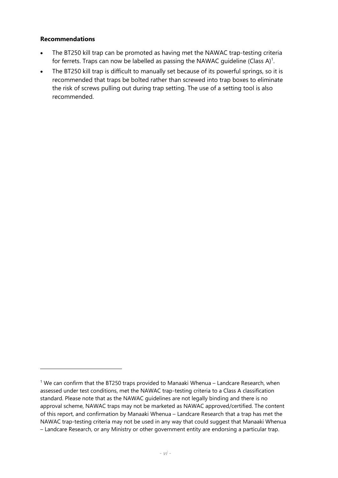#### **Recommendations**

- The BT250 kill trap can be promoted as having met the NAWAC trap-testing criteria for ferrets. Traps can now be labelled as passing the NAWAC guideline (Class A)<sup>1</sup>.
- The BT250 kill trap is difficult to manually set because of its powerful springs, so it is recommended that traps be bolted rather than screwed into trap boxes to eliminate the risk of screws pulling out during trap setting. The use of a setting tool is also recommended.

 $1$  We can confirm that the BT250 traps provided to Manaaki Whenua – Landcare Research, when assessed under test conditions, met the NAWAC trap-testing criteria to a Class A classification standard. Please note that as the NAWAC guidelines are not legally binding and there is no approval scheme, NAWAC traps may not be marketed as NAWAC approved/certified. The content of this report, and confirmation by Manaaki Whenua – Landcare Research that a trap has met the NAWAC trap-testing criteria may not be used in any way that could suggest that Manaaki Whenua – Landcare Research, or any Ministry or other government entity are endorsing a particular trap.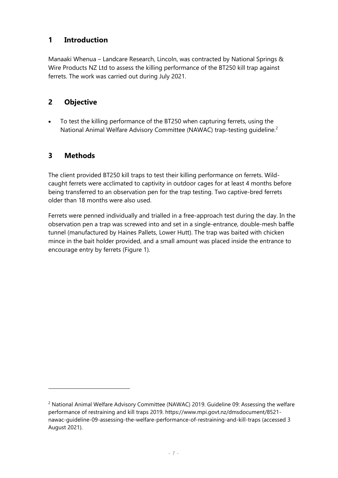# <span id="page-8-0"></span>**1 Introduction**

Manaaki Whenua – Landcare Research, Lincoln, was contracted by National Springs & Wire Products NZ Ltd to assess the killing performance of the BT250 kill trap against ferrets. The work was carried out during July 2021.

# <span id="page-8-1"></span>**2 Objective**

• To test the killing performance of the BT250 when capturing ferrets, using the National Animal Welfare Advisory Committee (NAWAC) trap-testing guideline.<sup>2</sup>

# <span id="page-8-2"></span>**3 Methods**

The client provided BT250 kill traps to test their killing performance on ferrets. Wildcaught ferrets were acclimated to captivity in outdoor cages for at least 4 months before being transferred to an observation pen for the trap testing. Two captive-bred ferrets older than 18 months were also used.

Ferrets were penned individually and trialled in a free-approach test during the day. In the observation pen a trap was screwed into and set in a single-entrance, double-mesh baffle tunnel (manufactured by Haines Pallets, Lower Hutt). The trap was baited with chicken mince in the bait holder provided, and a small amount was placed inside the entrance to encourage entry by ferrets (Figure 1).

<sup>&</sup>lt;sup>2</sup> National Animal Welfare Advisory Committee (NAWAC) 2019. Guideline 09: Assessing the welfare performance of restraining and kill traps 2019. https://www.mpi.govt.nz/dmsdocument/8521 nawac-guideline-09-assessing-the-welfare-performance-of-restraining-and-kill-traps (accessed 3 August 2021).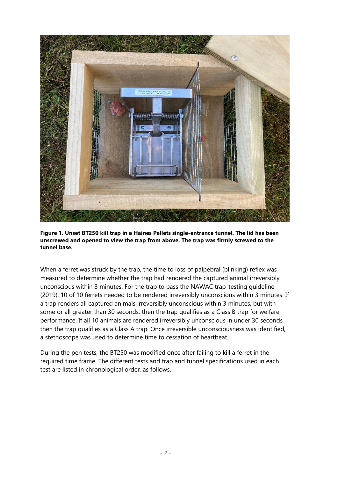

**Figure 1. Unset BT250 kill trap in a Haines Pallets single-entrance tunnel. The lid has been unscrewed and opened to view the trap from above. The trap was firmly screwed to the tunnel base.**

When a ferret was struck by the trap, the time to loss of palpebral (blinking) reflex was measured to determine whether the trap had rendered the captured animal irreversibly unconscious within 3 minutes. For the trap to pass the NAWAC trap-testing guideline (2019), 10 of 10 ferrets needed to be rendered irreversibly unconscious within 3 minutes. If a trap renders all captured animals irreversibly unconscious within 3 minutes, but with some or all greater than 30 seconds, then the trap qualifies as a Class B trap for welfare performance. If all 10 animals are rendered irreversibly unconscious in under 30 seconds, then the trap qualifies as a Class A trap. Once irreversible unconsciousness was identified, a stethoscope was used to determine time to cessation of heartbeat.

During the pen tests, the BT250 was modified once after failing to kill a ferret in the required time frame. The different tests and trap and tunnel specifications used in each test are listed in chronological order, as follows.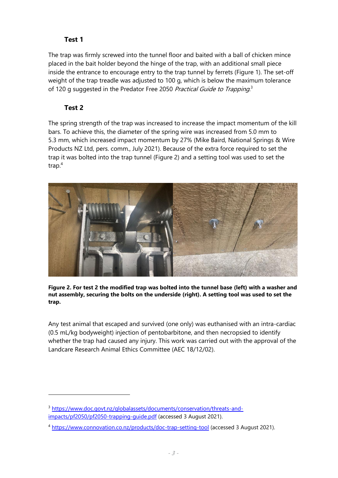## **Test 1**

The trap was firmly screwed into the tunnel floor and baited with a ball of chicken mince placed in the bait holder beyond the hinge of the trap, with an additional small piece inside the entrance to encourage entry to the trap tunnel by ferrets (Figure 1). The set-off weight of the trap treadle was adjusted to 100 g, which is below the maximum tolerance of 120 g suggested in the Predator Free 2050 *Practical Guide to Trapping*.<sup>3</sup>

### **Test 2**

The spring strength of the trap was increased to increase the impact momentum of the kill bars. To achieve this, the diameter of the spring wire was increased from 5.0 mm to 5.3 mm, which increased impact momentum by 27% (Mike Baird, National Springs & Wire Products NZ Ltd, pers. comm., July 2021). Because of the extra force required to set the trap it was bolted into the trap tunnel (Figure 2) and a setting tool was used to set the trap. 4



**Figure 2. For test 2 the modified trap was bolted into the tunnel base (left) with a washer and nut assembly, securing the bolts on the underside (right). A setting tool was used to set the trap.**

Any test animal that escaped and survived (one only) was euthanised with an intra-cardiac (0.5 mL/kg bodyweight) injection of pentobarbitone, and then necropsied to identify whether the trap had caused any injury. This work was carried out with the approval of the Landcare Research Animal Ethics Committee (AEC 18/12/02).

<sup>3</sup> [https://www.doc.govt.nz/globalassets/documents/conservation/threats-and](https://www.doc.govt.nz/globalassets/documents/conservation/threats-and-impacts/pf2050/pf2050-trapping-guide.pdf)[impacts/pf2050/pf2050-trapping-guide.pdf](https://www.doc.govt.nz/globalassets/documents/conservation/threats-and-impacts/pf2050/pf2050-trapping-guide.pdf) (accessed 3 August 2021).

<sup>4</sup> <https://www.connovation.co.nz/products/doc-trap-setting-tool> (accessed 3 August 2021).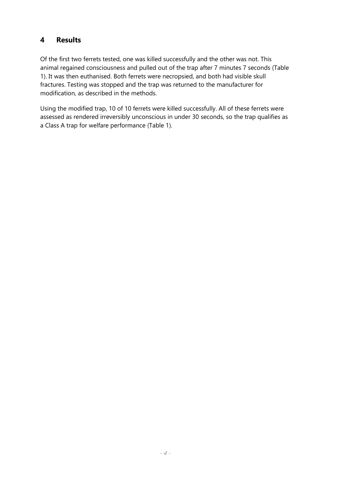## <span id="page-11-0"></span>**4 Results**

Of the first two ferrets tested, one was killed successfully and the other was not. This animal regained consciousness and pulled out of the trap after 7 minutes 7 seconds (Table 1). It was then euthanised. Both ferrets were necropsied, and both had visible skull fractures. Testing was stopped and the trap was returned to the manufacturer for modification, as described in the methods.

Using the modified trap, 10 of 10 ferrets were killed successfully. All of these ferrets were assessed as rendered irreversibly unconscious in under 30 seconds, so the trap qualifies as a Class A trap for welfare performance (Table 1).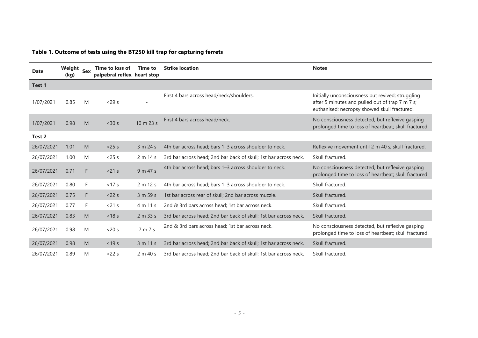### **Table 1. Outcome of tests using the BT250 kill trap for capturing ferrets**

| <b>Date</b> | Weight Sex<br>(kg) |    | Time to loss of<br>palpebral reflex heart stop | <b>Time to</b> | <b>Strike location</b>                                           | <b>Notes</b>                                                                                                                                         |
|-------------|--------------------|----|------------------------------------------------|----------------|------------------------------------------------------------------|------------------------------------------------------------------------------------------------------------------------------------------------------|
| Test 1      |                    |    |                                                |                |                                                                  |                                                                                                                                                      |
| 1/07/2021   | 0.85               | M  | $<$ 29 s                                       |                | First 4 bars across head/neck/shoulders.                         | Initially unconsciousness but revived; struggling<br>after 5 minutes and pulled out of trap 7 m 7 s;<br>euthanised; necropsy showed skull fractured. |
| 1/07/2021   | 0.98               | M  | < 30 s                                         | 10 m 23 s      | First 4 bars across head/neck.                                   | No consciousness detected, but reflexive gasping<br>prolonged time to loss of heartbeat; skull fractured.                                            |
| Test 2      |                    |    |                                                |                |                                                                  |                                                                                                                                                      |
| 26/07/2021  | 1.01               | M  | $<$ 25 s                                       | 3 m 24 s       | 4th bar across head; bars 1-3 across shoulder to neck.           | Reflexive movement until 2 m 40 s; skull fractured.                                                                                                  |
| 26/07/2021  | 1.00               | M  | $<$ 25 s                                       | 2 m 14 s       | 3rd bar across head; 2nd bar back of skull; 1st bar across neck. | Skull fractured.                                                                                                                                     |
| 26/07/2021  | 0.71               | F. | $<21$ s                                        | 9 m 47 s       | 4th bar across head; bars 1-3 across shoulder to neck.           | No consciousness detected, but reflexive gasping<br>prolonged time to loss of heartbeat; skull fractured.                                            |
| 26/07/2021  | 0.80               | F. | < 17 s                                         | 2m12s          | 4th bar across head; bars 1-3 across shoulder to neck.           | Skull fractured.                                                                                                                                     |
| 26/07/2021  | 0.75               | F. | $<$ 22 s                                       | 3 m 59 s       | 1st bar across rear of skull; 2nd bar across muzzle.             | Skull fractured.                                                                                                                                     |
| 26/07/2021  | 0.77               | F  | $<$ 21 s                                       | 4 m 11 s       | 2nd & 3rd bars across head; 1st bar across neck.                 | Skull fractured.                                                                                                                                     |
| 26/07/2021  | 0.83               | M  | $<$ 18 s                                       | 2 m 33 s       | 3rd bar across head; 2nd bar back of skull; 1st bar across neck. | Skull fractured.                                                                                                                                     |
| 26/07/2021  | 0.98               | M  | $<$ 20 s                                       | 7 m 7 s        | 2nd & 3rd bars across head; 1st bar across neck.                 | No consciousness detected, but reflexive gasping<br>prolonged time to loss of heartbeat; skull fractured.                                            |
| 26/07/2021  | 0.98               | M  | $<$ 19 s                                       | 3 m 11 s       | 3rd bar across head; 2nd bar back of skull; 1st bar across neck. | Skull fractured.                                                                                                                                     |
| 26/07/2021  | 0.89               | M  | $<$ 22 s                                       | 2 m 40 s       | 3rd bar across head; 2nd bar back of skull; 1st bar across neck. | Skull fractured.                                                                                                                                     |